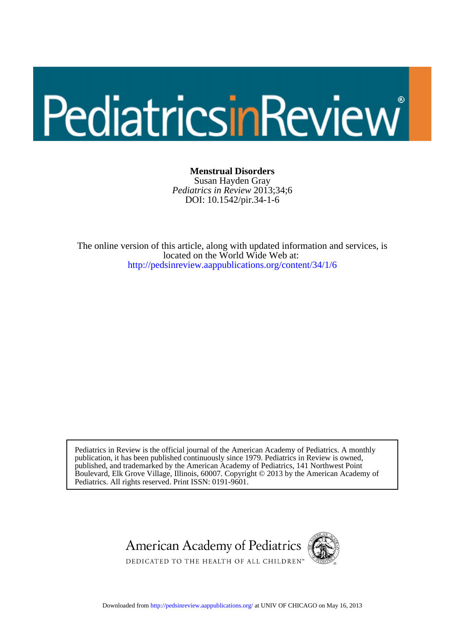# PediatricsinReview

DOI: 10.1542/pir.34-1-6 *Pediatrics in Review* 2013;34;6 Susan Hayden Gray **Menstrual Disorders**

<http://pedsinreview.aappublications.org/content/34/1/6> located on the World Wide Web at: The online version of this article, along with updated information and services, is

Pediatrics. All rights reserved. Print ISSN: 0191-9601. Boulevard, Elk Grove Village, Illinois, 60007. Copyright © 2013 by the American Academy of published, and trademarked by the American Academy of Pediatrics, 141 Northwest Point publication, it has been published continuously since 1979. Pediatrics in Review is owned, Pediatrics in Review is the official journal of the American Academy of Pediatrics. A monthly



Downloaded from<http://pedsinreview.aappublications.org/>at UNIV OF CHICAGO on May 16, 2013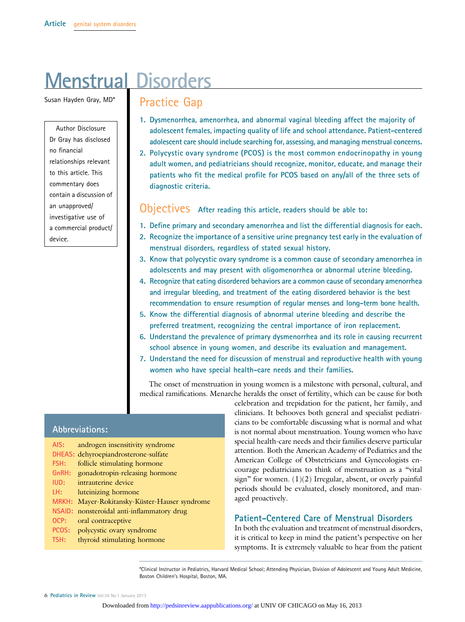# Menstrual Disorders

Susan Hayden Gray, MD\*

Author Disclosure Dr Gray has disclosed no financial relationships relevant to this article. This commentary does contain a discussion of an unapproved/ investigative use of a commercial product/ device.

# Practice Gap

- 1. Dysmenorrhea, amenorrhea, and abnormal vaginal bleeding affect the majority of adolescent females, impacting quality of life and school attendance. Patient-centered adolescent care should include searching for, assessing, and managing menstrual concerns.
- 2. Polycystic ovary syndrome (PCOS) is the most common endocrinopathy in young adult women, and pediatricians should recognize, monitor, educate, and manage their patients who fit the medical profile for PCOS based on any/all of the three sets of diagnostic criteria.

# Objectives After reading this article, readers should be able to:

- 1. Define primary and secondary amenorrhea and list the differential diagnosis for each.
- 2. Recognize the importance of a sensitive urine pregnancy test early in the evaluation of menstrual disorders, regardless of stated sexual history.
- 3. Know that polycystic ovary syndrome is a common cause of secondary amenorrhea in adolescents and may present with oligomenorrhea or abnormal uterine bleeding.
- 4. Recognize that eating disordered behaviors are a common cause of secondary amenorrhea and irregular bleeding, and treatment of the eating disordered behavior is the best recommendation to ensure resumption of regular menses and long-term bone health.
- 5. Know the differential diagnosis of abnormal uterine bleeding and describe the preferred treatment, recognizing the central importance of iron replacement.
- 6. Understand the prevalence of primary dysmenorrhea and its role in causing recurrent school absence in young women, and describe its evaluation and management.
- 7. Understand the need for discussion of menstrual and reproductive health with young women who have special health-care needs and their families.

The onset of menstruation in young women is a milestone with personal, cultural, and medical ramifications. Menarche heralds the onset of fertility, which can be cause for both

# Abbreviations:

| AIS:  | androgen insensitivity syndrome            |
|-------|--------------------------------------------|
|       | DHEAS: dehyroepiandrosterone-sulfate       |
| FSH:  | follicle stimulating hormone               |
| GnRH: | gonadotropin-releasing hormone             |
| IUD:  | intrauterine device                        |
| LH:   | luteinizing hormone                        |
| MRKH: | Mayer-Rokitansky-Küster-Hauser syndrome    |
|       | NSAID: nonsteroidal anti-inflammatory drug |
| OCP:  | oral contraceptive                         |
| PCOS: | polycystic ovary syndrome                  |
| TSH:  | thyroid stimulating hormone                |

celebration and trepidation for the patient, her family, and clinicians. It behooves both general and specialist pediatricians to be comfortable discussing what is normal and what is not normal about menstruation. Young women who have special health-care needs and their families deserve particular attention. Both the American Academy of Pediatrics and the American College of Obstetricians and Gynecologists encourage pediatricians to think of menstruation as a "vital sign" for women.  $(1)(2)$  Irregular, absent, or overly painful periods should be evaluated, closely monitored, and managed proactively.

# Patient-Centered Care of Menstrual Disorders

In both the evaluation and treatment of menstrual disorders, it is critical to keep in mind the patient's perspective on her symptoms. It is extremely valuable to hear from the patient

\*Clinical Instructor in Pediatrics, Harvard Medical School; Attending Physician, Division of Adolescent and Young Adult Medicine, Boston Children's Hospital, Boston, MA.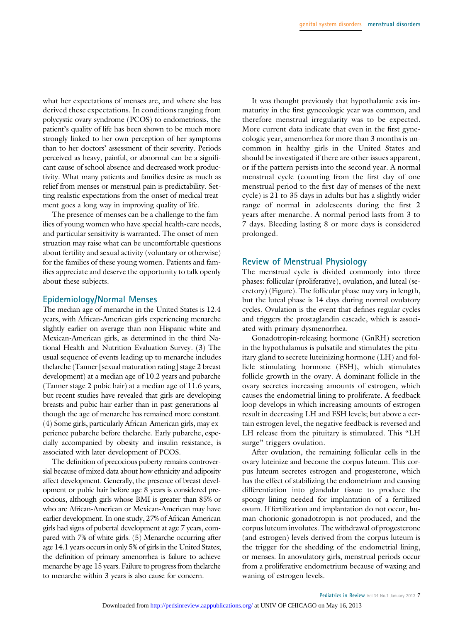what her expectations of menses are, and where she has derived these expectations. In conditions ranging from polycystic ovary syndrome (PCOS) to endometriosis, the patient's quality of life has been shown to be much more strongly linked to her own perception of her symptoms than to her doctors' assessment of their severity. Periods perceived as heavy, painful, or abnormal can be a significant cause of school absence and decreased work productivity. What many patients and families desire as much as relief from menses or menstrual pain is predictability. Setting realistic expectations from the onset of medical treatment goes a long way in improving quality of life.

The presence of menses can be a challenge to the families of young women who have special health-care needs, and particular sensitivity is warranted. The onset of menstruation may raise what can be uncomfortable questions about fertility and sexual activity (voluntary or otherwise) for the families of these young women. Patients and families appreciate and deserve the opportunity to talk openly about these subjects.

# Epidemiology/Normal Menses

The median age of menarche in the United States is 12.4 years, with African-American girls experiencing menarche slightly earlier on average than non-Hispanic white and Mexican-American girls, as determined in the third National Health and Nutrition Evaluation Survey. (3) The usual sequence of events leading up to menarche includes thelarche (Tanner [sexual maturation rating] stage 2 breast development) at a median age of 10.2 years and pubarche (Tanner stage 2 pubic hair) at a median age of 11.6 years, but recent studies have revealed that girls are developing breasts and pubic hair earlier than in past generations although the age of menarche has remained more constant. (4) Some girls, particularly African-American girls, may experience pubarche before thelarche. Early pubarche, especially accompanied by obesity and insulin resistance, is associated with later development of PCOS.

The definition of precocious puberty remains controversial because of mixed data about how ethnicity and adiposity affect development. Generally, the presence of breast development or pubic hair before age 8 years is considered precocious, although girls whose BMI is greater than 85% or who are African-American or Mexican-American may have earlier development. In one study, 27% of African-American girls had signs of pubertal development at age 7 years, compared with 7% of white girls. (5) Menarche occurring after age 14.1 years occurs in only 5% of girls in the United States; the definition of primary amenorrhea is failure to achieve menarche by age 15 years. Failure to progress from thelarche to menarche within 3 years is also cause for concern.

It was thought previously that hypothalamic axis immaturity in the first gynecologic year was common, and therefore menstrual irregularity was to be expected. More current data indicate that even in the first gynecologic year, amenorrhea for more than 3 months is uncommon in healthy girls in the United States and should be investigated if there are other issues apparent, or if the pattern persists into the second year. A normal menstrual cycle (counting from the first day of one menstrual period to the first day of menses of the next cycle) is 21 to 35 days in adults but has a slightly wider range of normal in adolescents during the first 2 years after menarche. A normal period lasts from 3 to 7 days. Bleeding lasting 8 or more days is considered prolonged.

## Review of Menstrual Physiology

The menstrual cycle is divided commonly into three phases: follicular (proliferative), ovulation, and luteal (secretory) (Figure). The follicular phase may vary in length, but the luteal phase is 14 days during normal ovulatory cycles. Ovulation is the event that defines regular cycles and triggers the prostaglandin cascade, which is associated with primary dysmenorrhea.

Gonadotropin-releasing hormone (GnRH) secretion in the hypothalamus is pulsatile and stimulates the pituitary gland to secrete luteinizing hormone (LH) and follicle stimulating hormone (FSH), which stimulates follicle growth in the ovary. A dominant follicle in the ovary secretes increasing amounts of estrogen, which causes the endometrial lining to proliferate. A feedback loop develops in which increasing amounts of estrogen result in decreasing LH and FSH levels; but above a certain estrogen level, the negative feedback is reversed and LH release from the pituitary is stimulated. This "LH surge" triggers ovulation.

After ovulation, the remaining follicular cells in the ovary luteinize and become the corpus luteum. This corpus luteum secretes estrogen and progesterone, which has the effect of stabilizing the endometrium and causing differentiation into glandular tissue to produce the spongy lining needed for implantation of a fertilized ovum. If fertilization and implantation do not occur, human chorionic gonadotropin is not produced, and the corpus luteum involutes. The withdrawal of progesterone (and estrogen) levels derived from the corpus luteum is the trigger for the shedding of the endometrial lining, or menses. In anovulatory girls, menstrual periods occur from a proliferative endometrium because of waxing and waning of estrogen levels.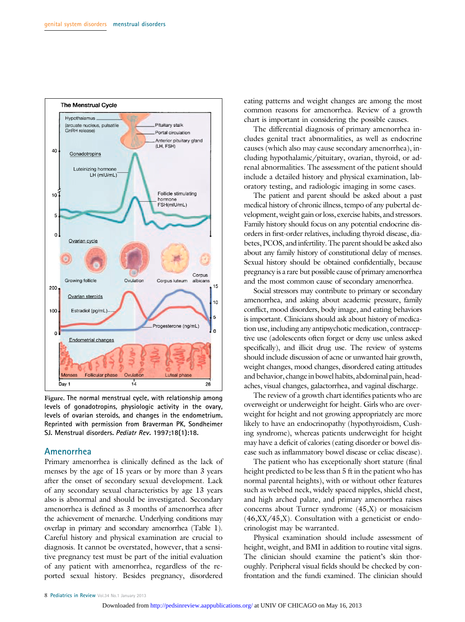

Figure. The normal menstrual cycle, with relationship among levels of gonadotropins, physiologic activity in the ovary, levels of ovarian steroids, and changes in the endometrium. Reprinted with permission from Braverman PK, Sondheimer SJ. Menstrual disorders. Pediatr Rev. 1997;18(1):18.

# Amenorrhea

Primary amenorrhea is clinically defined as the lack of menses by the age of 15 years or by more than 3 years after the onset of secondary sexual development. Lack of any secondary sexual characteristics by age 13 years also is abnormal and should be investigated. Secondary amenorrhea is defined as 3 months of amenorrhea after the achievement of menarche. Underlying conditions may overlap in primary and secondary amenorrhea (Table 1). Careful history and physical examination are crucial to diagnosis. It cannot be overstated, however, that a sensitive pregnancy test must be part of the initial evaluation of any patient with amenorrhea, regardless of the reported sexual history. Besides pregnancy, disordered

eating patterns and weight changes are among the most common reasons for amenorrhea. Review of a growth chart is important in considering the possible causes.

The differential diagnosis of primary amenorrhea includes genital tract abnormalities, as well as endocrine causes (which also may cause secondary amenorrhea), including hypothalamic/pituitary, ovarian, thyroid, or adrenal abnormalities. The assessment of the patient should include a detailed history and physical examination, laboratory testing, and radiologic imaging in some cases.

The patient and parent should be asked about a past medical history of chronic illness, tempo of any pubertal development, weight gain or loss, exercise habits, and stressors. Family history should focus on any potential endocrine disorders in first-order relatives, including thyroid disease, diabetes, PCOS, and infertility. The parent should be asked also about any family history of constitutional delay of menses. Sexual history should be obtained confidentially, because pregnancy is a rare but possible cause of primary amenorrhea and the most common cause of secondary amenorrhea.

Social stressors may contribute to primary or secondary amenorrhea, and asking about academic pressure, family conflict, mood disorders, body image, and eating behaviors is important. Clinicians should ask about history of medication use, including any antipsychotic medication, contraceptive use (adolescents often forget or deny use unless asked specifically), and illicit drug use. The review of systems should include discussion of acne or unwanted hair growth, weight changes, mood changes, disordered eating attitudes and behavior, change in bowel habits, abdominal pain, headaches, visual changes, galactorrhea, and vaginal discharge.

The review of a growth chart identifies patients who are overweight or underweight for height. Girls who are overweight for height and not growing appropriately are more likely to have an endocrinopathy (hypothyroidism, Cushing syndrome), whereas patients underweight for height may have a deficit of calories (eating disorder or bowel disease such as inflammatory bowel disease or celiac disease).

The patient who has exceptionally short stature (final height predicted to be less than 5 ft in the patient who has normal parental heights), with or without other features such as webbed neck, widely spaced nipples, shield chest, and high arched palate, and primary amenorrhea raises concerns about Turner syndrome (45,X) or mosaicism  $(46, XX/45, X)$ . Consultation with a geneticist or endocrinologist may be warranted.

Physical examination should include assessment of height, weight, and BMI in addition to routine vital signs. The clinician should examine the patient's skin thoroughly. Peripheral visual fields should be checked by confrontation and the fundi examined. The clinician should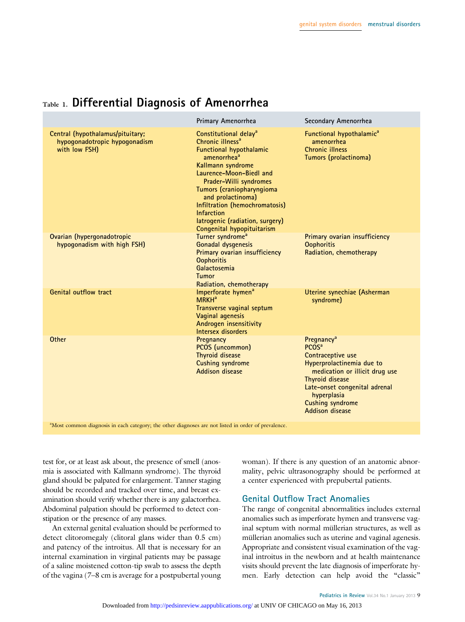# Table 1. Differential Diagnosis of Amenorrhea

|                                                                                                                 | Primary Amenorrhea                                                                                                                                                                                                                                                                                                                                                                 | Secondary Amenorrhea                                                                                                                                                                                                                                                 |  |  |
|-----------------------------------------------------------------------------------------------------------------|------------------------------------------------------------------------------------------------------------------------------------------------------------------------------------------------------------------------------------------------------------------------------------------------------------------------------------------------------------------------------------|----------------------------------------------------------------------------------------------------------------------------------------------------------------------------------------------------------------------------------------------------------------------|--|--|
| Central (hypothalamus/pituitary;<br>hypogonadotropic hypogonadism<br>with low FSH)                              | Constitutional delay <sup>a</sup><br>Chronic illness <sup>a</sup><br><b>Functional hypothalamic</b><br>amenorrhea <sup>a</sup><br>Kallmann syndrome<br>Laurence-Moon-Biedl and<br>Prader-Willi syndromes<br>Tumors (craniopharyngioma<br>and prolactinoma)<br>Infiltration (hemochromatosis)<br><b>Infarction</b><br>latrogenic (radiation, surgery)<br>Congenital hypopituitarism | Functional hypothalamic <sup>a</sup><br>amenorrhea<br><b>Chronic illness</b><br>Tumors (prolactinoma)                                                                                                                                                                |  |  |
| Ovarian (hypergonadotropic<br>hypogonadism with high FSH)                                                       | Turner syndrome <sup>a</sup><br>Gonadal dysgenesis<br>Primary ovarian insufficiency<br><b>Oophoritis</b><br>Galactosemia<br>Tumor<br>Radiation, chemotherapy                                                                                                                                                                                                                       | Primary ovarian insufficiency<br><b>Oophoritis</b><br>Radiation, chemotherapy                                                                                                                                                                                        |  |  |
| <b>Genital outflow tract</b>                                                                                    | Imperforate hymen <sup>a</sup><br><b>MRKH</b> <sup>a</sup><br>Transverse vaginal septum<br>Vaginal agenesis<br>Androgen insensitivity<br><b>Intersex disorders</b>                                                                                                                                                                                                                 | Uterine synechiae (Asherman<br>syndrome)                                                                                                                                                                                                                             |  |  |
| Other                                                                                                           | Pregnancy<br><b>PCOS (uncommon)</b><br><b>Thyroid disease</b><br><b>Cushing syndrome</b><br><b>Addison disease</b>                                                                                                                                                                                                                                                                 | Pregnancy <sup>a</sup><br><b>PCOS<sup>a</sup></b><br>Contraceptive use<br>Hyperprolactinemia due to<br>medication or illicit drug use<br><b>Thyroid disease</b><br>Late-onset congenital adrenal<br>hyperplasia<br><b>Cushing syndrome</b><br><b>Addison disease</b> |  |  |
| <sup>a</sup> Most common diagnosis in each category; the other diagnoses are not listed in order of prevalence. |                                                                                                                                                                                                                                                                                                                                                                                    |                                                                                                                                                                                                                                                                      |  |  |

test for, or at least ask about, the presence of smell (anosmia is associated with Kallmann syndrome). The thyroid gland should be palpated for enlargement. Tanner staging should be recorded and tracked over time, and breast examination should verify whether there is any galactorrhea. Abdominal palpation should be performed to detect constipation or the presence of any masses.

An external genital evaluation should be performed to detect clitoromegaly (clitoral glans wider than 0.5 cm) and patency of the introitus. All that is necessary for an internal examination in virginal patients may be passage of a saline moistened cotton-tip swab to assess the depth of the vagina (7–8 cm is average for a postpubertal young woman). If there is any question of an anatomic abnormality, pelvic ultrasonography should be performed at a center experienced with prepubertal patients.

# Genital Outflow Tract Anomalies

The range of congenital abnormalities includes external anomalies such as imperforate hymen and transverse vaginal septum with normal müllerian structures, as well as müllerian anomalies such as uterine and vaginal agenesis. Appropriate and consistent visual examination of the vaginal introitus in the newborn and at health maintenance visits should prevent the late diagnosis of imperforate hymen. Early detection can help avoid the "classic"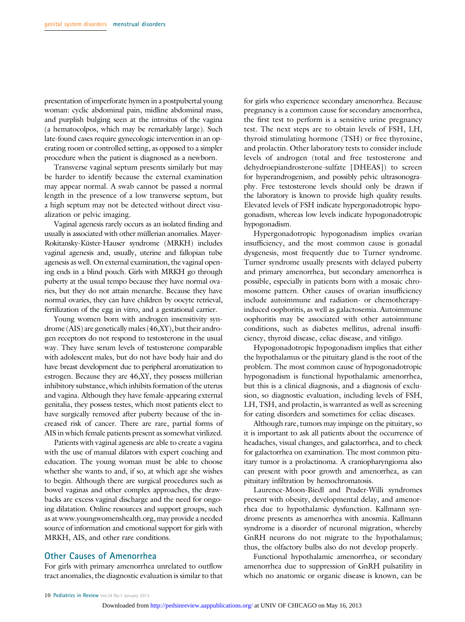presentation of imperforate hymen in a postpubertal young woman: cyclic abdominal pain, midline abdominal mass, and purplish bulging seen at the introitus of the vagina (a hematocolpos, which may be remarkably large). Such late-found cases require gynecologic intervention in an operating room or controlled setting, as opposed to a simpler procedure when the patient is diagnosed as a newborn.

Transverse vaginal septum presents similarly but may be harder to identify because the external examination may appear normal. A swab cannot be passed a normal length in the presence of a low transverse septum, but a high septum may not be detected without direct visualization or pelvic imaging.

Vaginal agenesis rarely occurs as an isolated finding and usually is associated with other müllerian anomalies. Mayer-Rokitansky-Küster-Hauser syndrome (MRKH) includes vaginal agenesis and, usually, uterine and fallopian tube agenesis as well. On external examination, the vaginal opening ends in a blind pouch. Girls with MRKH go through puberty at the usual tempo because they have normal ovaries, but they do not attain menarche. Because they have normal ovaries, they can have children by oocyte retrieval, fertilization of the egg in vitro, and a gestational carrier.

Young women born with androgen insensitivity syndrome (AIS) are genetically males (46,XY), but their androgen receptors do not respond to testosterone in the usual way. They have serum levels of testosterone comparable with adolescent males, but do not have body hair and do have breast development due to peripheral aromatization to estrogen. Because they are 46,XY, they possess müllerian inhibitory substance, which inhibits formation of the uterus and vagina. Although they have female-appearing external genitalia, they possess testes, which most patients elect to have surgically removed after puberty because of the increased risk of cancer. There are rare, partial forms of AIS in which female patients present as somewhat virilized.

Patients with vaginal agenesis are able to create a vagina with the use of manual dilators with expert coaching and education. The young woman must be able to choose whether she wants to and, if so, at which age she wishes to begin. Although there are surgical procedures such as bowel vaginas and other complex approaches, the drawbacks are excess vaginal discharge and the need for ongoing dilatation. Online resources and support groups, such as at [www.youngwomenshealth.org](http://www.youngwomenshealth.org), may provide a needed source of information and emotional support for girls with MRKH, AIS, and other rare conditions.

### Other Causes of Amenorrhea

For girls with primary amenorrhea unrelated to outflow tract anomalies, the diagnostic evaluation is similar to that for girls who experience secondary amenorrhea. Because pregnancy is a common cause for secondary amenorrhea, the first test to perform is a sensitive urine pregnancy test. The next steps are to obtain levels of FSH, LH, thyroid stimulating hormone (TSH) or free thyroxine, and prolactin. Other laboratory tests to consider include levels of androgen (total and free testosterone and dehydroepiandrosterone-sulfate [DHEAS]) to screen for hyperandrogenism, and possibly pelvic ultrasonography. Free testosterone levels should only be drawn if the laboratory is known to provide high quality results. Elevated levels of FSH indicate hypergonadotropic hypogonadism, whereas low levels indicate hypogonadotropic hypogonadism.

Hypergonadotropic hypogonadism implies ovarian insufficiency, and the most common cause is gonadal dysgenesis, most frequently due to Turner syndrome. Turner syndrome usually presents with delayed puberty and primary amenorrhea, but secondary amenorrhea is possible, especially in patients born with a mosaic chromosome pattern. Other causes of ovarian insufficiency include autoimmune and radiation- or chemotherapyinduced oophoritis, as well as galactosemia. Autoimmune oophoritis may be associated with other autoimmune conditions, such as diabetes mellitus, adrenal insufficiency, thyroid disease, celiac disease, and vitiligo.

Hypogonadotropic hypogonadism implies that either the hypothalamus or the pituitary gland is the root of the problem. The most common cause of hypogonadotropic hypogonadism is functional hypothalamic amenorrhea, but this is a clinical diagnosis, and a diagnosis of exclusion, so diagnostic evaluation, including levels of FSH, LH, TSH, and prolactin, is warranted as well as screening for eating disorders and sometimes for celiac diseases.

Although rare, tumors may impinge on the pituitary, so it is important to ask all patients about the occurrence of headaches, visual changes, and galactorrhea, and to check for galactorrhea on examination. The most common pituitary tumor is a prolactinoma. A craniopharyngioma also can present with poor growth and amenorrhea, as can pituitary infiltration by hemochromatosis.

Laurence-Moon-Biedl and Prader-Willi syndromes present with obesity, developmental delay, and amenorrhea due to hypothalamic dysfunction. Kallmann syndrome presents as amenorrhea with anosmia. Kallmann syndrome is a disorder of neuronal migration, whereby GnRH neurons do not migrate to the hypothalamus; thus, the olfactory bulbs also do not develop properly.

Functional hypothalamic amenorrhea, or secondary amenorrhea due to suppression of GnRH pulsatility in which no anatomic or organic disease is known, can be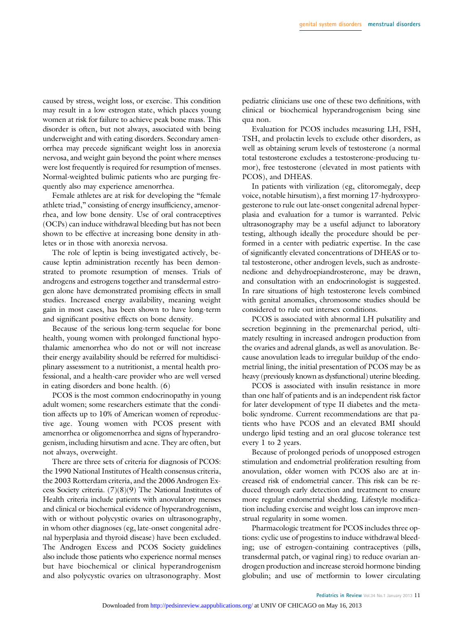caused by stress, weight loss, or exercise. This condition may result in a low estrogen state, which places young women at risk for failure to achieve peak bone mass. This disorder is often, but not always, associated with being underweight and with eating disorders. Secondary amenorrhea may precede significant weight loss in anorexia nervosa, and weight gain beyond the point where menses were lost frequently is required for resumption of menses. Normal-weighted bulimic patients who are purging frequently also may experience amenorrhea.

Female athletes are at risk for developing the "female athlete triad," consisting of energy insufficiency, amenorrhea, and low bone density. Use of oral contraceptives (OCPs) can induce withdrawal bleeding but has not been shown to be effective at increasing bone density in athletes or in those with anorexia nervosa.

The role of leptin is being investigated actively, because leptin administration recently has been demonstrated to promote resumption of menses. Trials of androgens and estrogens together and transdermal estrogen alone have demonstrated promising effects in small studies. Increased energy availability, meaning weight gain in most cases, has been shown to have long-term and significant positive effects on bone density.

Because of the serious long-term sequelae for bone health, young women with prolonged functional hypothalamic amenorrhea who do not or will not increase their energy availability should be referred for multidisciplinary assessment to a nutritionist, a mental health professional, and a health-care provider who are well versed in eating disorders and bone health. (6)

PCOS is the most common endocrinopathy in young adult women; some researchers estimate that the condition affects up to 10% of American women of reproductive age. Young women with PCOS present with amenorrhea or oligomenorrhea and signs of hyperandrogenism, including hirsutism and acne. They are often, but not always, overweight.

There are three sets of criteria for diagnosis of PCOS: the 1990 National Institutes of Health consensus criteria, the 2003 Rotterdam criteria, and the 2006 Androgen Excess Society criteria. (7)(8)(9) The National Institutes of Health criteria include patients with anovulatory menses and clinical or biochemical evidence of hyperandrogenism, with or without polycystic ovaries on ultrasonography, in whom other diagnoses (eg, late-onset congenital adrenal hyperplasia and thyroid disease) have been excluded. The Androgen Excess and PCOS Society guidelines also include those patients who experience normal menses but have biochemical or clinical hyperandrogenism and also polycystic ovaries on ultrasonography. Most pediatric clinicians use one of these two definitions, with clinical or biochemical hyperandrogenism being sine qua non.

Evaluation for PCOS includes measuring LH, FSH, TSH, and prolactin levels to exclude other disorders, as well as obtaining serum levels of testosterone (a normal total testosterone excludes a testosterone-producing tumor), free testosterone (elevated in most patients with PCOS), and DHEAS.

In patients with virilization (eg, clitoromegaly, deep voice, notable hirsutism), a first morning 17-hydroxyprogesterone to rule out late-onset congenital adrenal hyperplasia and evaluation for a tumor is warranted. Pelvic ultrasonography may be a useful adjunct to laboratory testing, although ideally the procedure should be performed in a center with pediatric expertise. In the case of significantly elevated concentrations of DHEAS or total testosterone, other androgen levels, such as androstenedione and dehydroepiandrosterone, may be drawn, and consultation with an endocrinologist is suggested. In rare situations of high testosterone levels combined with genital anomalies, chromosome studies should be considered to rule out intersex conditions.

PCOS is associated with abnormal LH pulsatility and secretion beginning in the premenarchal period, ultimately resulting in increased androgen production from the ovaries and adrenal glands, as well as anovulation. Because anovulation leads to irregular buildup of the endometrial lining, the initial presentation of PCOS may be as heavy (previously known as dysfunctional) uterine bleeding.

PCOS is associated with insulin resistance in more than one half of patients and is an independent risk factor for later development of type II diabetes and the metabolic syndrome. Current recommendations are that patients who have PCOS and an elevated BMI should undergo lipid testing and an oral glucose tolerance test every 1 to 2 years.

Because of prolonged periods of unopposed estrogen stimulation and endometrial proliferation resulting from anovulation, older women with PCOS also are at increased risk of endometrial cancer. This risk can be reduced through early detection and treatment to ensure more regular endometrial shedding. Lifestyle modification including exercise and weight loss can improve menstrual regularity in some women.

Pharmacologic treatment for PCOS includes three options: cyclic use of progestins to induce withdrawal bleeding; use of estrogen-containing contraceptives (pills, transdermal patch, or vaginal ring) to reduce ovarian androgen production and increase steroid hormone binding globulin; and use of metformin to lower circulating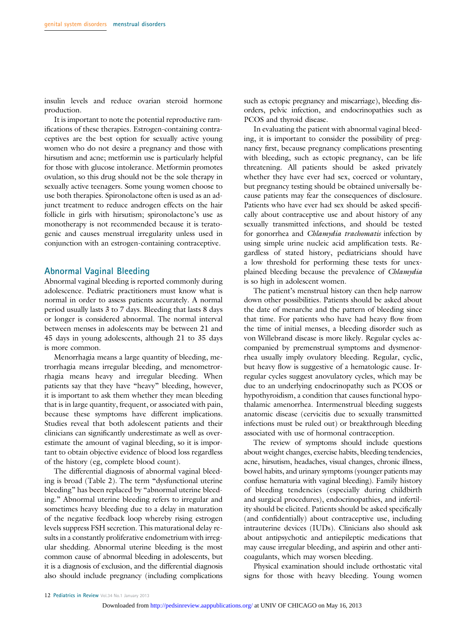insulin levels and reduce ovarian steroid hormone production.

It is important to note the potential reproductive ramifications of these therapies. Estrogen-containing contraceptives are the best option for sexually active young women who do not desire a pregnancy and those with hirsutism and acne; metformin use is particularly helpful for those with glucose intolerance. Metformin promotes ovulation, so this drug should not be the sole therapy in sexually active teenagers. Some young women choose to use both therapies. Spironolactone often is used as an adjunct treatment to reduce androgen effects on the hair follicle in girls with hirsutism; spironolactone's use as monotherapy is not recommended because it is teratogenic and causes menstrual irregularity unless used in conjunction with an estrogen-containing contraceptive.

### Abnormal Vaginal Bleeding

Abnormal vaginal bleeding is reported commonly during adolescence. Pediatric practitioners must know what is normal in order to assess patients accurately. A normal period usually lasts 3 to 7 days. Bleeding that lasts 8 days or longer is considered abnormal. The normal interval between menses in adolescents may be between 21 and 45 days in young adolescents, although 21 to 35 days is more common.

Menorrhagia means a large quantity of bleeding, metrorrhagia means irregular bleeding, and menometrorrhagia means heavy and irregular bleeding. When patients say that they have "heavy" bleeding, however, it is important to ask them whether they mean bleeding that is in large quantity, frequent, or associated with pain, because these symptoms have different implications. Studies reveal that both adolescent patients and their clinicians can significantly underestimate as well as overestimate the amount of vaginal bleeding, so it is important to obtain objective evidence of blood loss regardless of the history (eg, complete blood count).

The differential diagnosis of abnormal vaginal bleeding is broad (Table 2). The term "dysfunctional uterine bleeding" has been replaced by "abnormal uterine bleeding." Abnormal uterine bleeding refers to irregular and sometimes heavy bleeding due to a delay in maturation of the negative feedback loop whereby rising estrogen levels suppress FSH secretion. This maturational delay results in a constantly proliferative endometrium with irregular shedding. Abnormal uterine bleeding is the most common cause of abnormal bleeding in adolescents, but it is a diagnosis of exclusion, and the differential diagnosis also should include pregnancy (including complications such as ectopic pregnancy and miscarriage), bleeding disorders, pelvic infection, and endocrinopathies such as PCOS and thyroid disease.

In evaluating the patient with abnormal vaginal bleeding, it is important to consider the possibility of pregnancy first, because pregnancy complications presenting with bleeding, such as ectopic pregnancy, can be life threatening. All patients should be asked privately whether they have ever had sex, coerced or voluntary, but pregnancy testing should be obtained universally because patients may fear the consequences of disclosure. Patients who have ever had sex should be asked specifically about contraceptive use and about history of any sexually transmitted infections, and should be tested for gonorrhea and *Chlamydia trachomatis* infection by using simple urine nucleic acid amplification tests. Regardless of stated history, pediatricians should have a low threshold for performing these tests for unexplained bleeding because the prevalence of Chlamydia is so high in adolescent women.

The patient's menstrual history can then help narrow down other possibilities. Patients should be asked about the date of menarche and the pattern of bleeding since that time. For patients who have had heavy flow from the time of initial menses, a bleeding disorder such as von Willebrand disease is more likely. Regular cycles accompanied by premenstrual symptoms and dysmenorrhea usually imply ovulatory bleeding. Regular, cyclic, but heavy flow is suggestive of a hematologic cause. Irregular cycles suggest anovulatory cycles, which may be due to an underlying endocrinopathy such as PCOS or hypothyroidism, a condition that causes functional hypothalamic amenorrhea. Intermenstrual bleeding suggests anatomic disease (cervicitis due to sexually transmitted infections must be ruled out) or breakthrough bleeding associated with use of hormonal contraception.

The review of symptoms should include questions about weight changes, exercise habits, bleeding tendencies, acne, hirsutism, headaches, visual changes, chronic illness, bowel habits, and urinary symptoms (younger patients may confuse hematuria with vaginal bleeding). Family history of bleeding tendencies (especially during childbirth and surgical procedures), endocrinopathies, and infertility should be elicited. Patients should be asked specifically (and confidentially) about contraceptive use, including intrauterine devices (IUDs). Clinicians also should ask about antipsychotic and antiepileptic medications that may cause irregular bleeding, and aspirin and other anticoagulants, which may worsen bleeding.

Physical examination should include orthostatic vital signs for those with heavy bleeding. Young women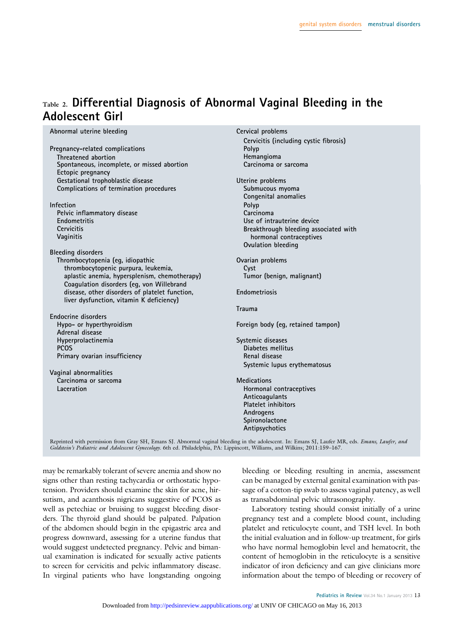# Table 2. Differential Diagnosis of Abnormal Vaginal Bleeding in the Adolescent Girl

Abnormal uterine bleeding Cervical problems

Pregnancy-related complications Threatened abortion Spontaneous, incomplete, or missed abortion Ectopic pregnancy Gestational trophoblastic disease Uterine problems Complications of termination procedures Submucous myoma

Infection Pelvic inflammatory disease Endometritis **Cervicitis** Vaginitis

Bleeding disorders Thrombocytopenia (eg, idiopathic thrombocytopenic purpura, leukemia, aplastic anemia, hypersplenism, chemotherapy) Coagulation disorders (eg, von Willebrand disease, other disorders of platelet function, liver dysfunction, vitamin K deficiency)

Endocrine disorders Hypo- or hyperthyroidism Adrenal disease Hyperprolactinemia PCOS Primary ovarian insufficiency

Vaginal abnormalities Carcinoma or sarcoma Laceration

Cervicitis (including cystic fibrosis) Polyp Hemangioma Carcinoma or sarcoma Congenital anomalies Polyp Carcinoma Use of intrauterine device Breakthrough bleeding associated with hormonal contraceptives Ovulation bleeding Ovarian problems **Cyst** Tumor (benign, malignant) Endometriosis

Trauma

Foreign body (eg, retained tampon)

Systemic diseases Diabetes mellitus Renal disease Systemic lupus erythematosus

**Medications** Hormonal contraceptives Anticoagulants Platelet inhibitors Androgens Spironolactone Antipsychotics

Reprinted with permission from Gray SH, Emans SJ. Abnormal vaginal bleeding in the adolescent. In: Emans SJ, Laufer MR, eds. Emans, Laufer, and Goldstein's Pediatric and Adolescent Gynecology. 6th ed. Philadelphia, PA: Lippincott, Williams, and Wilkins; 2011:159–167.

may be remarkably tolerant of severe anemia and show no signs other than resting tachycardia or orthostatic hypotension. Providers should examine the skin for acne, hirsutism, and acanthosis nigricans suggestive of PCOS as well as petechiae or bruising to suggest bleeding disorders. The thyroid gland should be palpated. Palpation of the abdomen should begin in the epigastric area and progress downward, assessing for a uterine fundus that would suggest undetected pregnancy. Pelvic and bimanual examination is indicated for sexually active patients to screen for cervicitis and pelvic inflammatory disease. In virginal patients who have longstanding ongoing bleeding or bleeding resulting in anemia, assessment can be managed by external genital examination with passage of a cotton-tip swab to assess vaginal patency, as well as transabdominal pelvic ultrasonography.

Laboratory testing should consist initially of a urine pregnancy test and a complete blood count, including platelet and reticulocyte count, and TSH level. In both the initial evaluation and in follow-up treatment, for girls who have normal hemoglobin level and hematocrit, the content of hemoglobin in the reticulocyte is a sensitive indicator of iron deficiency and can give clinicians more information about the tempo of bleeding or recovery of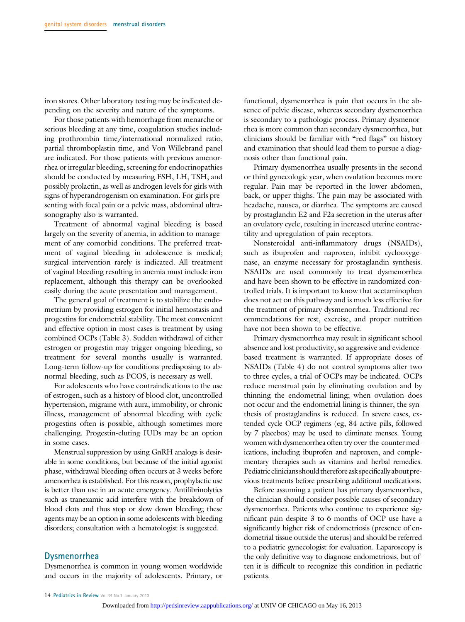iron stores. Other laboratory testing may be indicated depending on the severity and nature of the symptoms.

For those patients with hemorrhage from menarche or serious bleeding at any time, coagulation studies including prothrombin time/international normalized ratio, partial thromboplastin time, and Von Willebrand panel are indicated. For those patients with previous amenorrhea or irregular bleeding, screening for endocrinopathies should be conducted by measuring FSH, LH, TSH, and possibly prolactin, as well as androgen levels for girls with signs of hyperandrogenism on examination. For girls presenting with focal pain or a pelvic mass, abdominal ultrasonography also is warranted.

Treatment of abnormal vaginal bleeding is based largely on the severity of anemia, in addition to management of any comorbid conditions. The preferred treatment of vaginal bleeding in adolescence is medical; surgical intervention rarely is indicated. All treatment of vaginal bleeding resulting in anemia must include iron replacement, although this therapy can be overlooked easily during the acute presentation and management.

The general goal of treatment is to stabilize the endometrium by providing estrogen for initial hemostasis and progestins for endometrial stability. The most convenient and effective option in most cases is treatment by using combined OCPs (Table 3). Sudden withdrawal of either estrogen or progestin may trigger ongoing bleeding, so treatment for several months usually is warranted. Long-term follow-up for conditions predisposing to abnormal bleeding, such as PCOS, is necessary as well.

For adolescents who have contraindications to the use of estrogen, such as a history of blood clot, uncontrolled hypertension, migraine with aura, immobility, or chronic illness, management of abnormal bleeding with cyclic progestins often is possible, although sometimes more challenging. Progestin-eluting IUDs may be an option in some cases.

Menstrual suppression by using GnRH analogs is desirable in some conditions, but because of the initial agonist phase, withdrawal bleeding often occurs at 3 weeks before amenorrhea is established. For this reason, prophylactic use is better than use in an acute emergency. Antifibrinolytics such as tranexamic acid interfere with the breakdown of blood clots and thus stop or slow down bleeding; these agents may be an option in some adolescents with bleeding disorders; consultation with a hematologist is suggested.

### **Dysmenorrhea**

Dysmenorrhea is common in young women worldwide and occurs in the majority of adolescents. Primary, or functional, dysmenorrhea is pain that occurs in the absence of pelvic disease, whereas secondary dysmenorrhea is secondary to a pathologic process. Primary dysmenorrhea is more common than secondary dysmenorrhea, but clinicians should be familiar with "red flags" on history and examination that should lead them to pursue a diagnosis other than functional pain.

Primary dysmenorrhea usually presents in the second or third gynecologic year, when ovulation becomes more regular. Pain may be reported in the lower abdomen, back, or upper thighs. The pain may be associated with headache, nausea, or diarrhea. The symptoms are caused by prostaglandin E2 and F2a secretion in the uterus after an ovulatory cycle, resulting in increased uterine contractility and upregulation of pain receptors.

Nonsteroidal anti-inflammatory drugs (NSAIDs), such as ibuprofen and naproxen, inhibit cyclooxygenase, an enzyme necessary for prostaglandin synthesis. NSAIDs are used commonly to treat dysmenorrhea and have been shown to be effective in randomized controlled trials. It is important to know that acetaminophen does not act on this pathway and is much less effective for the treatment of primary dysmenorrhea. Traditional recommendations for rest, exercise, and proper nutrition have not been shown to be effective.

Primary dysmenorrhea may result in significant school absence and lost productivity, so aggressive and evidencebased treatment is warranted. If appropriate doses of NSAIDs (Table 4) do not control symptoms after two to three cycles, a trial of OCPs may be indicated. OCPs reduce menstrual pain by eliminating ovulation and by thinning the endometrial lining; when ovulation does not occur and the endometrial lining is thinner, the synthesis of prostaglandins is reduced. In severe cases, extended cycle OCP regimens (eg, 84 active pills, followed by 7 placebos) may be used to eliminate menses. Young women with dysmenorrhea often try over-the-counter medications, including ibuprofen and naproxen, and complementary therapies such as vitamins and herbal remedies. Pediatric clinicians should therefore ask specifically about previous treatments before prescribing additional medications.

Before assuming a patient has primary dysmenorrhea, the clinician should consider possible causes of secondary dysmenorrhea. Patients who continue to experience significant pain despite 3 to 6 months of OCP use have a significantly higher risk of endometriosis (presence of endometrial tissue outside the uterus) and should be referred to a pediatric gynecologist for evaluation. Laparoscopy is the only definitive way to diagnose endometriosis, but often it is difficult to recognize this condition in pediatric patients.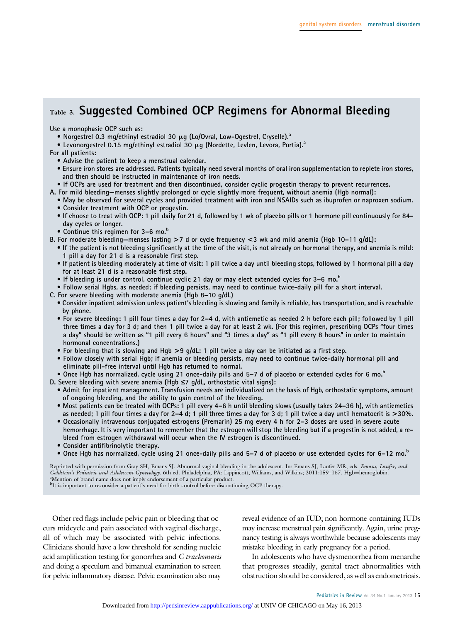# Table 3. Suggested Combined OCP Regimens for Abnormal Bleeding

Use a monophasic OCP such as:

- Norgestrel 0.3 mg/ethinyl estradiol 30 µg (Lo/Ovral, Low-Ogestrel, Cryselle).<sup>a</sup>
- Levonorgestrel 0.15 mg/ethinyl estradiol 30  $\mu$ g (Nordette, Levlen, Levora, Portia).<sup>a</sup>

For all patients:

- Advise the patient to keep a menstrual calendar.
- Ensure iron stores are addressed. Patients typically need several months of oral iron supplementation to replete iron stores, and then should be instructed in maintenance of iron needs.
- If OCPs are used for treatment and then discontinued, consider cyclic progestin therapy to prevent recurrences.
- A. For mild bleeding—menses slightly prolonged or cycle slightly more frequent, without anemia (Hgb normal):
- May be observed for several cycles and provided treatment with iron and NSAIDs such as ibuprofen or naproxen sodium. • Consider treatment with OCP or progestin.
- If choose to treat with OCP: 1 pill daily for 21 d, followed by 1 wk of placebo pills or 1 hormone pill continuously for 84 day cycles or longer.
- Continue this regimen for 3-6 mo.<sup>b</sup>
- B. For moderate bleeding—menses lasting >7 d or cycle frequency <3 wk and mild anemia (Hgb 10–11 g/dL):
	- If the patient is not bleeding significantly at the time of the visit, is not already on hormonal therapy, and anemia is mild: 1 pill a day for 21 d is a reasonable first step.
	- If patient is bleeding moderately at time of visit: 1 pill twice a day until bleeding stops, followed by 1 hormonal pill a day for at least 21 d is a reasonable first step.
	- If bleeding is under control, continue cyclic 21 day or may elect extended cycles for 3–6 mo. $<sup>b</sup>$ </sup>
- Follow serial Hgbs, as needed; if bleeding persists, may need to continue twice-daily pill for a short interval.
- C. For severe bleeding with moderate anemia (Hgb 8–10 g/dL)
	- Consider inpatient admission unless patient's bleeding is slowing and family is reliable, has transportation, and is reachable by phone.
	- For severe bleeding: 1 pill four times a day for 2–4 d, with antiemetic as needed 2 h before each pill; followed by 1 pill three times a day for 3 d; and then 1 pill twice a day for at least 2 wk. (For this regimen, prescribing OCPs "four times a day" should be written as "1 pill every 6 hours" and "3 times a day" as "1 pill every 8 hours" in order to maintain hormonal concentrations.)
	- For bleeding that is slowing and Hgb >9 g/dL: 1 pill twice a day can be initiated as a first step.
	- Follow closely with serial Hgb; if anemia or bleeding persists, may need to continue twice-daily hormonal pill and eliminate pill-free interval until Hgb has returned to normal.
- Once Hgb has normalized, cycle using 21 once-daily pills and 5-7 d of placebo or extended cycles for 6 mo.<sup>b</sup>
- D. Severe bleeding with severe anemia (Hgb  $\leq$ 7 g/dL, orthostatic vital signs):
	- Admit for inpatient management. Transfusion needs are individualized on the basis of Hgb, orthostatic symptoms, amount of ongoing bleeding, and the ability to gain control of the bleeding.
	- Most patients can be treated with OCPs: 1 pill every 4–6 h until bleeding slows (usually takes 24–36 h), with antiemetics as needed; 1 pill four times a day for 2–4 d; 1 pill three times a day for 3 d; 1 pill twice a day until hematocrit is >30%.
	- Occasionally intravenous conjugated estrogens (Premarin) 25 mg every 4 h for 2–3 doses are used in severe acute hemorrhage. It is very important to remember that the estrogen will stop the bleeding but if a progestin is not added, a rebleed from estrogen withdrawal will occur when the IV estrogen is discontinued.
	- Consider antifibrinolytic therapy.
	- Once Hgb has normalized, cycle using 21 once-daily pills and 5–7 d of placebo or use extended cycles for 6–12 mo.<sup>b</sup>

Reprinted with permission from Gray SH, Emans SJ. Abnormal vaginal bleeding in the adolescent. In: Emans SJ, Laufer MR, eds. Emans, Laufer, and Goldstein's Pediatric and Adolescent Gynecology. 6th ed. Philadelphia, PA: Lippincott, Williams, and Wilkins; 2011:159-167. Hgb=hemoglobin. <sup>a</sup>Mention of brand name does not imply endorsement of a particular product. <sup>b</sup>It is important to reconsider a patient's need for birth control before discontinuing OCP therapy.

Other red flags include pelvic pain or bleeding that occurs midcycle and pain associated with vaginal discharge, all of which may be associated with pelvic infections. Clinicians should have a low threshold for sending nucleic acid amplification testing for gonorrhea and C trachomatis and doing a speculum and bimanual examination to screen for pelvic inflammatory disease. Pelvic examination also may

reveal evidence of an IUD; non-hormone-containing IUDs may increase menstrual pain significantly. Again, urine pregnancy testing is always worthwhile because adolescents may mistake bleeding in early pregnancy for a period.

In adolescents who have dysmenorrhea from menarche that progresses steadily, genital tract abnormalities with obstruction should be considered, as well as endometriosis.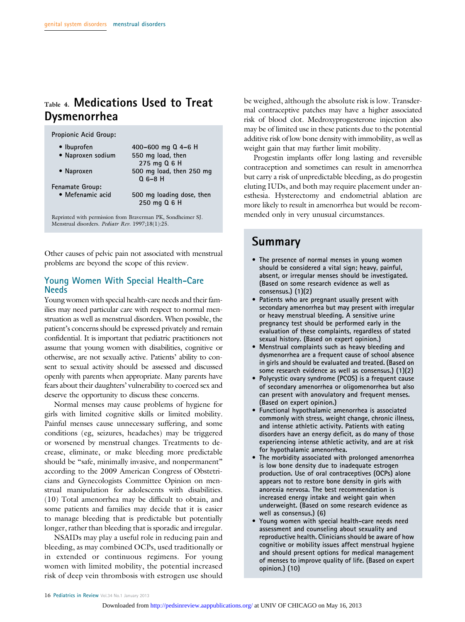# Table 4. Medications Used to Treat Dysmenorrhea

Propionic Acid Group:

| • Ibuprofen       | 400-600 mg Q 4-6 H                        |
|-------------------|-------------------------------------------|
| · Naproxen sodium | 550 mg load, then                         |
|                   | 275 mg Q 6 H                              |
| • Naproxen        | 500 mg load, then 250 mg                  |
|                   | $Q_6 - 8$ H                               |
| Fenamate Group:   |                                           |
| • Mefenamic acid  | 500 mg loading dose, then<br>250 mg Q 6 H |

Reprinted with permission from Braverman PK, Sondheimer SJ. Menstrual disorders. Pediatr Rev. 1997;18(1):25.

Other causes of pelvic pain not associated with menstrual problems are beyond the scope of this review.

# Young Women With Special Health-Care **Needs**

Young women with special health-care needs and their families may need particular care with respect to normal menstruation as well as menstrual disorders. When possible, the patient's concerns should be expressed privately and remain confidential. It is important that pediatric practitioners not assume that young women with disabilities, cognitive or otherwise, are not sexually active. Patients' ability to consent to sexual activity should be assessed and discussed openly with parents when appropriate. Many parents have fears about their daughters' vulnerability to coerced sex and deserve the opportunity to discuss these concerns.

Normal menses may cause problems of hygiene for girls with limited cognitive skills or limited mobility. Painful menses cause unnecessary suffering, and some conditions (eg, seizures, headaches) may be triggered or worsened by menstrual changes. Treatments to decrease, eliminate, or make bleeding more predictable should be "safe, minimally invasive, and nonpermanent" according to the 2009 American Congress of Obstetricians and Gynecologists Committee Opinion on menstrual manipulation for adolescents with disabilities. (10) Total amenorrhea may be difficult to obtain, and some patients and families may decide that it is easier to manage bleeding that is predictable but potentially longer, rather than bleeding that is sporadic and irregular.

NSAIDs may play a useful role in reducing pain and bleeding, as may combined OCPs, used traditionally or in extended or continuous regimens. For young women with limited mobility, the potential increased risk of deep vein thrombosis with estrogen use should

be weighed, although the absolute risk is low. Transdermal contraceptive patches may have a higher associated risk of blood clot. Medroxyprogesterone injection also may be of limited use in these patients due to the potential additive risk of low bone density with immobility, as well as weight gain that may further limit mobility.

Progestin implants offer long lasting and reversible contraception and sometimes can result in amenorrhea but carry a risk of unpredictable bleeding, as do progestin eluting IUDs, and both may require placement under anesthesia. Hysterectomy and endometrial ablation are more likely to result in amenorrhea but would be recommended only in very unusual circumstances.

# Summary

- The presence of normal menses in young women should be considered a vital sign; heavy, painful, absent, or irregular menses should be investigated. (Based on some research evidence as well as consensus.) (1)(2)
- Patients who are pregnant usually present with secondary amenorrhea but may present with irregular or heavy menstrual bleeding. A sensitive urine pregnancy test should be performed early in the evaluation of these complaints, regardless of stated sexual history. (Based on expert opinion.)
- Menstrual complaints such as heavy bleeding and dysmenorrhea are a frequent cause of school absence in girls and should be evaluated and treated. (Based on some research evidence as well as consensus.) (1)(2)
- Polycystic ovary syndrome (PCOS) is a frequent cause of secondary amenorrhea or oligomenorrhea but also can present with anovulatory and frequent menses. (Based on expert opinion.)
- Functional hypothalamic amenorrhea is associated commonly with stress, weight change, chronic illness, and intense athletic activity. Patients with eating disorders have an energy deficit, as do many of those experiencing intense athletic activity, and are at risk for hypothalamic amenorrhea.
- The morbidity associated with prolonged amenorrhea is low bone density due to inadequate estrogen production. Use of oral contraceptives (OCPs) alone appears not to restore bone density in girls with anorexia nervosa. The best recommendation is increased energy intake and weight gain when underweight. (Based on some research evidence as well as consensus.) (6)
- Young women with special health-care needs need assessment and counseling about sexuality and reproductive health. Clinicians should be aware of how cognitive or mobility issues affect menstrual hygiene and should present options for medical management of menses to improve quality of life. (Based on expert opinion.) (10)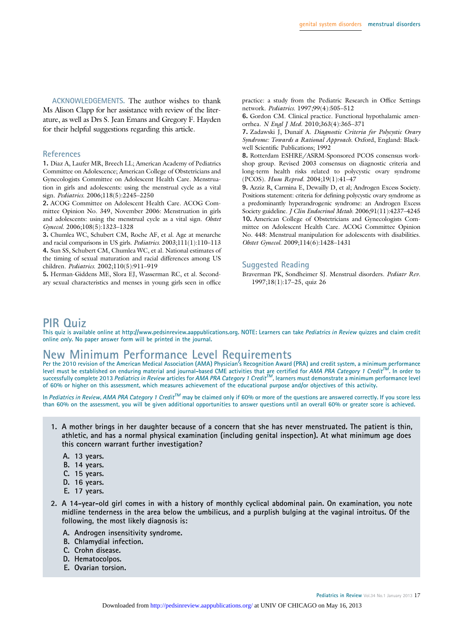ACKNOWLEDGEMENTS. The author wishes to thank Ms Alison Clapp for her assistance with review of the literature, as well as Drs S. Jean Emans and Gregory F. Hayden for their helpful suggestions regarding this article.

### References

1. Diaz A, Laufer MR, Breech LL; American Academy of Pediatrics Committee on Adolescence; American College of Obstetricians and Gynecologists Committee on Adolescent Health Care. Menstruation in girls and adolescents: using the menstrual cycle as a vital sign. Pediatrics. 2006;118(5):2245–2250

2. ACOG Committee on Adolescent Health Care. ACOG Committee Opinion No. 349, November 2006: Menstruation in girls and adolescents: using the menstrual cycle as a vital sign. Obstet Gynecol. 2006;108(5):1323–1328

3. Chumlea WC, Schubert CM, Roche AF, et al. Age at menarche and racial comparisons in US girls. Pediatrics. 2003;111(1):110-113 4. Sun SS, Schubert CM, Chumlea WC, et al. National estimates of the timing of sexual maturation and racial differences among US children. Pediatrics. 2002;110(5):911–919

5. Herman-Giddens ME, Slora EJ, Wasserman RC, et al. Secondary sexual characteristics and menses in young girls seen in office practice: a study from the Pediatric Research in Office Settings network. Pediatrics. 1997;99(4):505–512

6. Gordon CM. Clinical practice. Functional hypothalamic amenorrhea. N Engl J Med. 2010;363(4):365–371

7. Zadawski J, Dunaif A. Diagnostic Criteria for Polycystic Ovary Syndrome: Towards a Rational Approach. Oxford, England: Blackwell Scientific Publications; 1992

8. Rotterdam ESHRE/ASRM-Sponsored PCOS consensus workshop group. Revised 2003 consensus on diagnostic criteria and long-term health risks related to polycystic ovary syndrome (PCOS). Hum Reprod. 2004;19(1):41–47

9. Azziz R, Carmina E, Dewailly D, et al; Androgen Excess Society. Positions statement: criteria for defining polycystic ovary syndrome as a predominantly hyperandrogenic syndrome: an Androgen Excess Society guideline. J Clin Endocrinol Metab. 2006;91(11):4237-4245 10. American College of Obstetricians and Gynecologists Committee on Adolescent Health Care. ACOG Committee Opinion No. 448: Menstrual manipulation for adolescents with disabilities. Obstet Gynecol. 2009;114(6):1428–1431

### Suggested Reading

# PIR Quiz

This quiz is available online at<http://www.pedsinreview.aappublications.org>. NOTE: Learners can take Pediatrics in Review quizzes and claim credit online only. No paper answer form will be printed in the journal.

# New Minimum Performance Level Requirements

Per the 2010 revision of the American Medical Association (AMA) Physician's Recognition Award (PRA) and credit system, a minimum performance level must be established on enduring material and journal-based CME activities that are certified for AMA PRA Category 1 Credit<sup>TM</sup>. In order to successfully complete 2013 *Pediatrics in Review* articles for *AMA PRA Category 1 Credit<sup>TM</sup>*, learners must demonstrate a minimum performance level of 60% or higher on this assessment, which measures achievement of the educational purpose and/or objectives of this activity.

In Pediatrics in Review, AMA PRA Category 1 Credit™ may be claimed only if 60% or more of the questions are answered correctly. If you score less than 60% on the assessment, you will be given additional opportunities to answer questions until an overall 60% or greater score is achieved.

- 1. A mother brings in her daughter because of a concern that she has never menstruated. The patient is thin, athletic, and has a normal physical examination (including genital inspection). At what minimum age does this concern warrant further investigation?
	- A. 13 years.
	- B. 14 years.
	- C. 15 years.
	- D. 16 years.
	- E. 17 years.
- 2. A 14-year-old girl comes in with a history of monthly cyclical abdominal pain. On examination, you note midline tenderness in the area below the umbilicus, and a purplish bulging at the vaginal introitus. Of the following, the most likely diagnosis is:
	- A. Androgen insensitivity syndrome.
	- B. Chlamydial infection.
	- C. Crohn disease.
	- D. Hematocolpos.
	- E. Ovarian torsion.

Braverman PK, Sondheimer SJ. Menstrual disorders. Pediatr Rev. 1997;18(1):17–25, quiz 26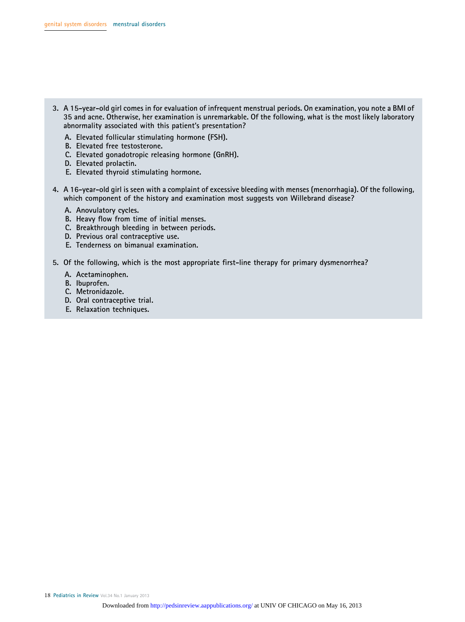- 3. A 15-year-old girl comes in for evaluation of infrequent menstrual periods. On examination, you note a BMI of 35 and acne. Otherwise, her examination is unremarkable. Of the following, what is the most likely laboratory abnormality associated with this patient's presentation?
	- A. Elevated follicular stimulating hormone (FSH).
	- B. Elevated free testosterone.
	- C. Elevated gonadotropic releasing hormone (GnRH).
	- D. Elevated prolactin.
	- E. Elevated thyroid stimulating hormone.
- 4. A 16-year-old girl is seen with a complaint of excessive bleeding with menses (menorrhagia). Of the following, which component of the history and examination most suggests von Willebrand disease?
	- A. Anovulatory cycles.
	- B. Heavy flow from time of initial menses.
	- C. Breakthrough bleeding in between periods.
	- D. Previous oral contraceptive use.
	- E. Tenderness on bimanual examination.
- 5. Of the following, which is the most appropriate first-line therapy for primary dysmenorrhea?
	- A. Acetaminophen.
	- B. Ibuprofen.
	- C. Metronidazole.
	- D. Oral contraceptive trial.
	- E. Relaxation techniques.